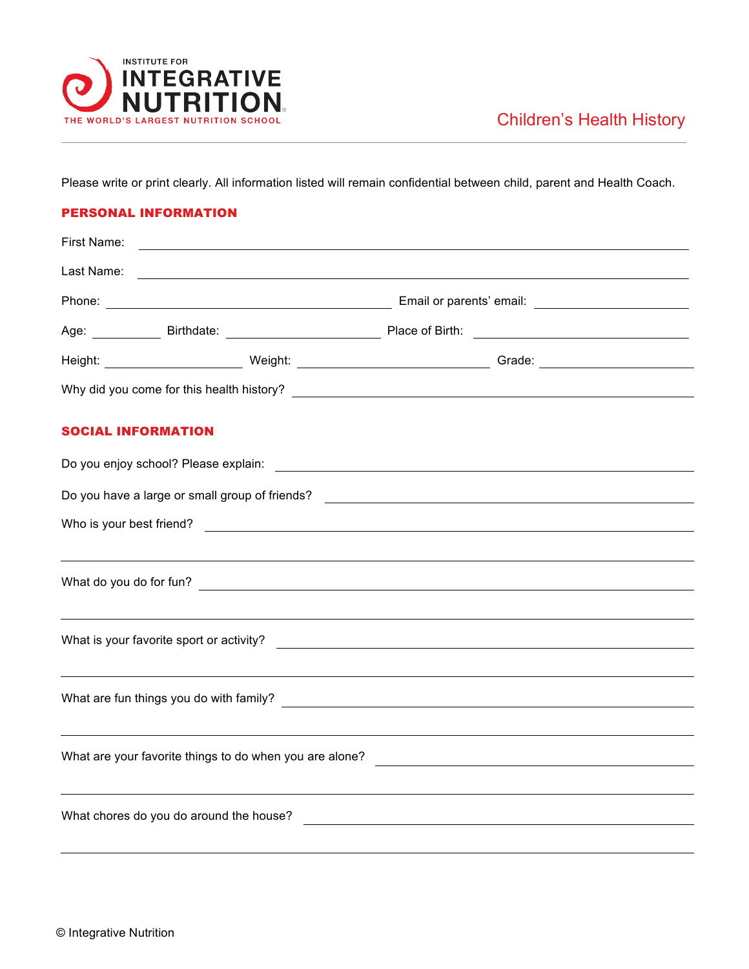

Please write or print clearly. All information listed will remain confidential between child, parent and Health Coach.

## PERSONAL INFORMATION

| First Name: |                                                                                                                                                                                                                                      |                                               |  |
|-------------|--------------------------------------------------------------------------------------------------------------------------------------------------------------------------------------------------------------------------------------|-----------------------------------------------|--|
| Last Name:  | <u> 1989 - Johann Stoff, deutscher Stoffen und der Stoffen und der Stoffen und der Stoffen und der Stoffen und der Stoffen und der Stoffen und der Stoffen und der Stoffen und der Stoffen und der Stoffen und der Stoffen und d</u> |                                               |  |
|             |                                                                                                                                                                                                                                      |                                               |  |
|             |                                                                                                                                                                                                                                      |                                               |  |
|             |                                                                                                                                                                                                                                      |                                               |  |
|             |                                                                                                                                                                                                                                      |                                               |  |
|             | <b>SOCIAL INFORMATION</b>                                                                                                                                                                                                            |                                               |  |
|             |                                                                                                                                                                                                                                      |                                               |  |
|             | Do you have a large or small group of friends?<br><u> Looman and the contract of the contract of the contract of the contract of the contract of the contract of</u>                                                                 |                                               |  |
|             |                                                                                                                                                                                                                                      |                                               |  |
|             |                                                                                                                                                                                                                                      |                                               |  |
|             |                                                                                                                                                                                                                                      |                                               |  |
|             |                                                                                                                                                                                                                                      |                                               |  |
|             |                                                                                                                                                                                                                                      |                                               |  |
|             |                                                                                                                                                                                                                                      |                                               |  |
|             |                                                                                                                                                                                                                                      |                                               |  |
|             |                                                                                                                                                                                                                                      |                                               |  |
|             | ,我们也不会有什么。""我们的人,我们也不会有什么?""我们的人,我们也不会有什么?""我们的人,我们也不会有什么?""我们的人,我们也不会有什么?""我们的人                                                                                                                                                     |                                               |  |
|             | What chores do you do around the house?                                                                                                                                                                                              | <u> 1980 - Andrea Andrew Maria (h. 1980).</u> |  |
|             |                                                                                                                                                                                                                                      |                                               |  |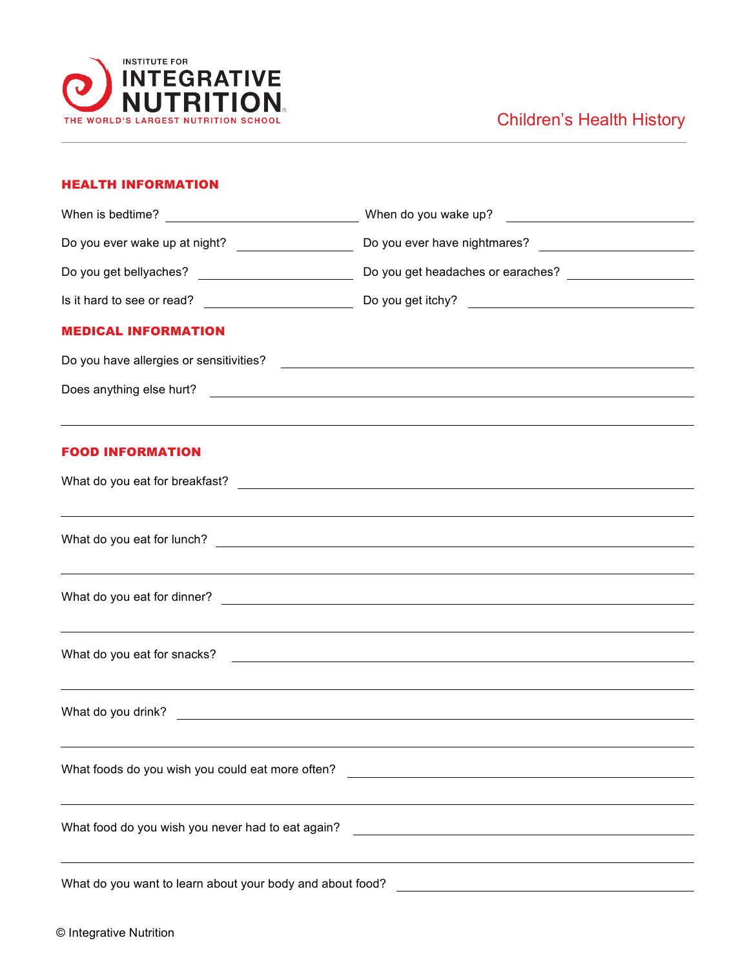

## Children's Health History

## HEALTH INFORMATION

|                                                                                                           | When do you wake up?                                                                                                                                                                                                                 |  |  |
|-----------------------------------------------------------------------------------------------------------|--------------------------------------------------------------------------------------------------------------------------------------------------------------------------------------------------------------------------------------|--|--|
| Do you ever wake up at night? ____________________                                                        |                                                                                                                                                                                                                                      |  |  |
|                                                                                                           |                                                                                                                                                                                                                                      |  |  |
|                                                                                                           |                                                                                                                                                                                                                                      |  |  |
| <b>MEDICAL INFORMATION</b>                                                                                |                                                                                                                                                                                                                                      |  |  |
|                                                                                                           |                                                                                                                                                                                                                                      |  |  |
|                                                                                                           | Does anything else hurt?<br><u> and</u> the contract of the contract of the contract of the contract of the contract of the contract of the contract of the contract of the contract of the contract of the contract of the contract |  |  |
|                                                                                                           |                                                                                                                                                                                                                                      |  |  |
| <b>FOOD INFORMATION</b>                                                                                   |                                                                                                                                                                                                                                      |  |  |
|                                                                                                           |                                                                                                                                                                                                                                      |  |  |
|                                                                                                           | <u> 1989 - Jan Samuel Barbara, margaret amerikan basar dan berasal dalam berasal dalam berasal dalam berasal dala</u>                                                                                                                |  |  |
|                                                                                                           | <u> 1989 - Johann Stoff, deutscher Stoffen und der Stoffen und der Stoffen und der Stoffen und der Stoffen und de</u>                                                                                                                |  |  |
|                                                                                                           | <u> 1989 - Johann Barn, amerikan bernama di sebagai bernama di sebagai bernama di sebagai bernama di sebagai ber</u>                                                                                                                 |  |  |
|                                                                                                           | ,我们也不会有什么。""我们的人,我们也不会有什么?""我们的人,我们也不会有什么?""我们的人,我们也不会有什么?""我们的人,我们也不会有什么?""我们的人                                                                                                                                                     |  |  |
| What foods do you wish you could eat more often?<br><u> 1980 - Johann Stein, fransk politik (f. 1980)</u> |                                                                                                                                                                                                                                      |  |  |
| What food do you wish you never had to eat again?                                                         |                                                                                                                                                                                                                                      |  |  |
| What do you want to learn about your body and about food?                                                 |                                                                                                                                                                                                                                      |  |  |